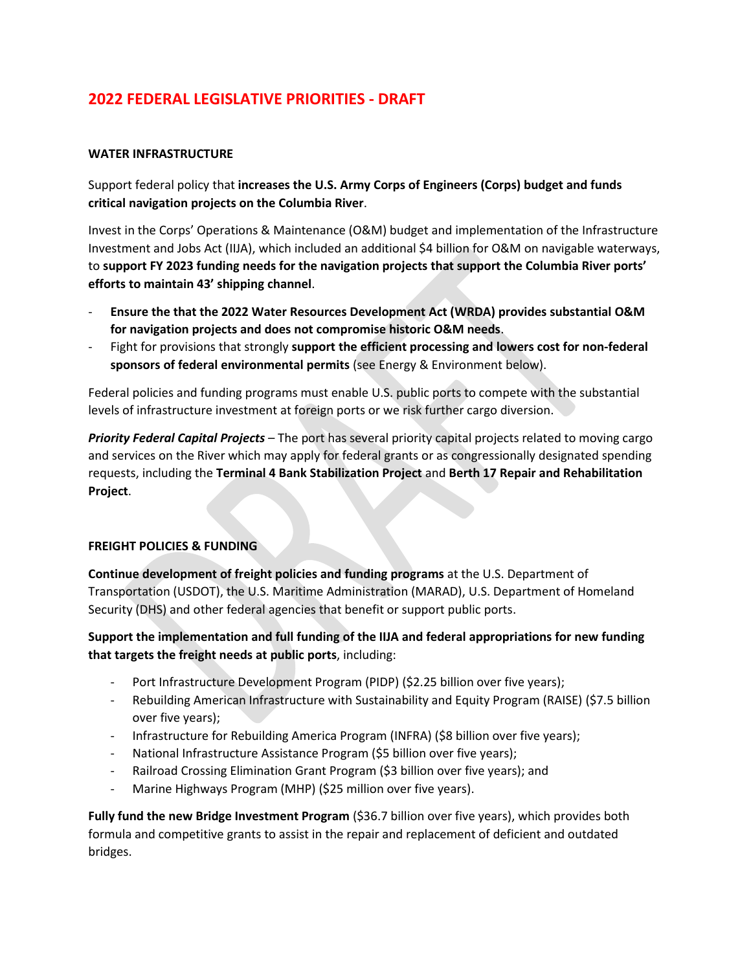# **2022 FEDERAL LEGISLATIVE PRIORITIES - DRAFT**

### **WATER INFRASTRUCTURE**

Support federal policy that **increases the U.S. Army Corps of Engineers (Corps) budget and funds critical navigation projects on the Columbia River**.

Invest in the Corps' Operations & Maintenance (O&M) budget and implementation of the Infrastructure Investment and Jobs Act (IIJA), which included an additional \$4 billion for O&M on navigable waterways, to **support FY 2023 funding needs for the navigation projects that support the Columbia River ports' efforts to maintain 43' shipping channel**.

- **Ensure the that the 2022 Water Resources Development Act (WRDA) provides substantial O&M for navigation projects and does not compromise historic O&M needs**.
- Fight for provisions that strongly **support the efficient processing and lowers cost for non-federal sponsors of federal environmental permits** (see Energy & Environment below).

Federal policies and funding programs must enable U.S. public ports to compete with the substantial levels of infrastructure investment at foreign ports or we risk further cargo diversion.

*Priority Federal Capital Projects* – The port has several priority capital projects related to moving cargo and services on the River which may apply for federal grants or as congressionally designated spending requests, including the **Terminal 4 Bank Stabilization Project** and **Berth 17 Repair and Rehabilitation Project**.

### **FREIGHT POLICIES & FUNDING**

**Continue development of freight policies and funding programs** at the U.S. Department of Transportation (USDOT), the U.S. Maritime Administration (MARAD), U.S. Department of Homeland Security (DHS) and other federal agencies that benefit or support public ports.

**Support the implementation and full funding of the IIJA and federal appropriations for new funding that targets the freight needs at public ports**, including:

- Port Infrastructure Development Program (PIDP) (\$2.25 billion over five years);
- Rebuilding American Infrastructure with Sustainability and Equity Program (RAISE) (\$7.5 billion over five years);
- Infrastructure for Rebuilding America Program (INFRA) (\$8 billion over five years);
- National Infrastructure Assistance Program (\$5 billion over five years);
- Railroad Crossing Elimination Grant Program (\$3 billion over five years); and
- Marine Highways Program (MHP) (\$25 million over five years).

**Fully fund the new Bridge Investment Program** (\$36.7 billion over five years), which provides both formula and competitive grants to assist in the repair and replacement of deficient and outdated bridges.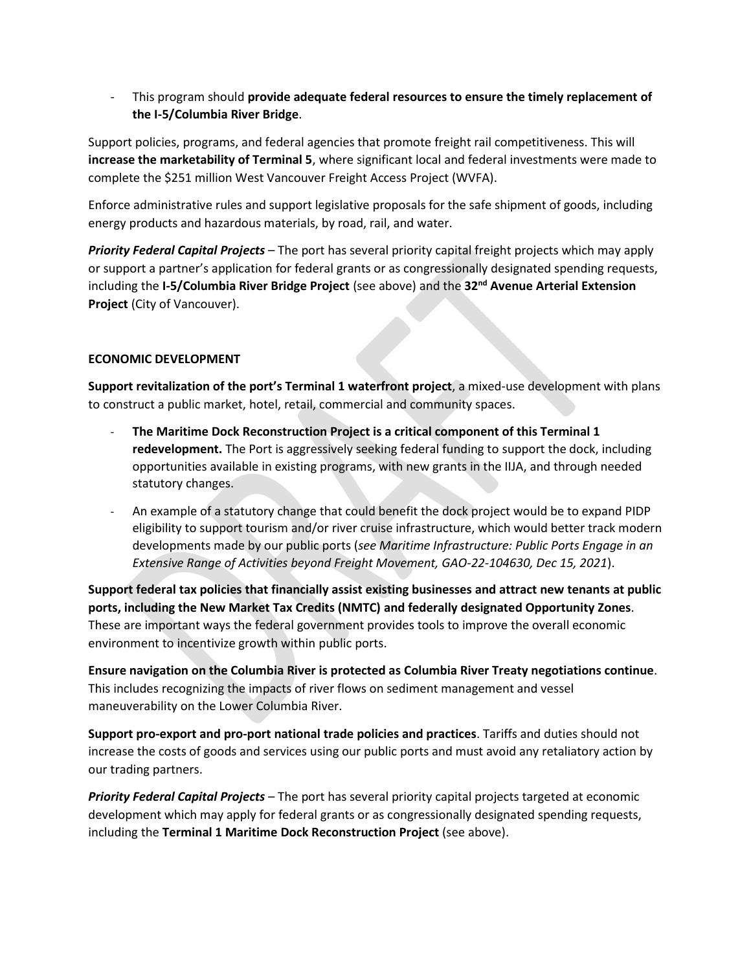- This program should **provide adequate federal resources to ensure the timely replacement of the I-5/Columbia River Bridge**.

Support policies, programs, and federal agencies that promote freight rail competitiveness. This will **increase the marketability of Terminal 5**, where significant local and federal investments were made to complete the \$251 million West Vancouver Freight Access Project (WVFA).

Enforce administrative rules and support legislative proposals for the safe shipment of goods, including energy products and hazardous materials, by road, rail, and water.

*Priority Federal Capital Projects* – The port has several priority capital freight projects which may apply or support a partner's application for federal grants or as congressionally designated spending requests, including the **I-5/Columbia River Bridge Project** (see above) and the **32nd Avenue Arterial Extension Project** (City of Vancouver).

## **ECONOMIC DEVELOPMENT**

**Support revitalization of the port's Terminal 1 waterfront project**, a mixed-use development with plans to construct a public market, hotel, retail, commercial and community spaces.

- The Maritime Dock Reconstruction Project is a critical component of this Terminal 1 **redevelopment.** The Port is aggressively seeking federal funding to support the dock, including opportunities available in existing programs, with new grants in the IIJA, and through needed statutory changes.
- An example of a statutory change that could benefit the dock project would be to expand PIDP eligibility to support tourism and/or river cruise infrastructure, which would better track modern developments made by our public ports (*see Maritime Infrastructure: Public Ports Engage in an Extensive Range of Activities beyond Freight Movement, GAO-22-104630, Dec 15, 2021*).

**Support federal tax policies that financially assist existing businesses and attract new tenants at public ports, including the New Market Tax Credits (NMTC) and federally designated Opportunity Zones**. These are important ways the federal government provides tools to improve the overall economic environment to incentivize growth within public ports.

**Ensure navigation on the Columbia River is protected as Columbia River Treaty negotiations continue**. This includes recognizing the impacts of river flows on sediment management and vessel maneuverability on the Lower Columbia River.

**Support pro-export and pro-port national trade policies and practices**. Tariffs and duties should not increase the costs of goods and services using our public ports and must avoid any retaliatory action by our trading partners.

*Priority Federal Capital Projects* – The port has several priority capital projects targeted at economic development which may apply for federal grants or as congressionally designated spending requests, including the **Terminal 1 Maritime Dock Reconstruction Project** (see above).